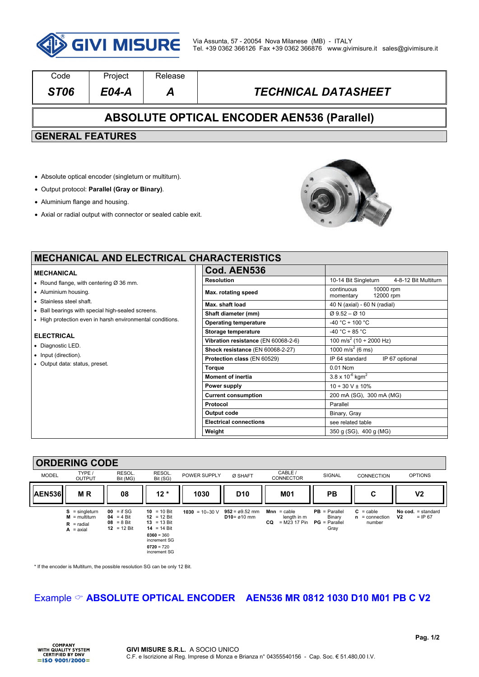

| Code                                              | Project | Release |                            |  |  |  |  |
|---------------------------------------------------|---------|---------|----------------------------|--|--|--|--|
| ST <sub>06</sub>                                  | E04-A   | A       | <b>TECHNICAL DATASHEET</b> |  |  |  |  |
| <b>ABSOLUTE OPTICAL ENCODER AEN536 (Parallel)</b> |         |         |                            |  |  |  |  |
| <b>GENERAL FEATURES</b>                           |         |         |                            |  |  |  |  |
|                                                   |         |         |                            |  |  |  |  |

- Absolute optical encoder (singleturn or multiturn).
- Output protocol: **Parallel (Gray or Binary)**.
- Aluminium flange and housing.
- Axial or radial output with connector or sealed cable exit.



٦

# **MECHANICAL AND ELECTRICAL CH**

- **MECHANICAL**
- Round flange, with centering Ø 36 mm.
- Aluminium housing.
- Stainless steel shaft.
- Ball bearings with special high-sealed screens.
- High protection even in harsh environmental conditions.

#### **ELECTRICAL**

- Diagnostic LED.
- Input (direction).
- Output data: status, preset.

| <b>IARACTERISTICS</b>               |                                                   |  |  |  |  |
|-------------------------------------|---------------------------------------------------|--|--|--|--|
| Cod. AEN536                         |                                                   |  |  |  |  |
| <b>Resolution</b>                   | 10-14 Bit Singleturn<br>4-8-12 Bit Multiturn      |  |  |  |  |
| Max. rotating speed                 | continuous<br>10000 rpm<br>12000 rpm<br>momentary |  |  |  |  |
| Max. shaft load                     | 40 N (axial) - 60 N (radial)                      |  |  |  |  |
| Shaft diameter (mm)                 | $\varnothing$ 9.52 – $\varnothing$ 10             |  |  |  |  |
| <b>Operating temperature</b>        | $-40 °C \div 100 °C$                              |  |  |  |  |
| <b>Storage temperature</b>          | $-40 °C \div 85 °C$                               |  |  |  |  |
| Vibration resistance (EN 60068-2-6) | 100 m/s <sup>2</sup> (10 ÷ 2000 Hz)               |  |  |  |  |
| Shock resistance (EN 60068-2-27)    | 1000 m/s <sup>2</sup> (6 ms)                      |  |  |  |  |
| Protection class (EN 60529)         | IP 64 standard<br>IP 67 optional                  |  |  |  |  |
| <b>Torque</b>                       | 0.01 Ncm                                          |  |  |  |  |
| <b>Moment of inertia</b>            | $3.8 \times 10^{-6}$ kgm <sup>2</sup>             |  |  |  |  |
| Power supply                        | $10 \div 30$ V + $10\%$                           |  |  |  |  |
| <b>Current consumption</b>          | 200 mA (SG), 300 mA (MG)                          |  |  |  |  |
| Protocol                            | Parallel                                          |  |  |  |  |
| Output code                         | Binary, Gray                                      |  |  |  |  |
| <b>Electrical connections</b>       | see related table                                 |  |  |  |  |
| Weight                              | 350 g (SG), 400 g (MG)                            |  |  |  |  |

### **ORDERING CODE**

|               | .                                                                        |                                                                       |                                                                                                                              |                       |                                                      |                                                        |                                                      |                                                  |                                                     |
|---------------|--------------------------------------------------------------------------|-----------------------------------------------------------------------|------------------------------------------------------------------------------------------------------------------------------|-----------------------|------------------------------------------------------|--------------------------------------------------------|------------------------------------------------------|--------------------------------------------------|-----------------------------------------------------|
| <b>MODEL</b>  | TYPE /<br>OUTPUT                                                         | RESOL.<br>Bit (MG)                                                    | RESOL.<br>Bit (SG)                                                                                                           | POWER SUPPLY          | Ø SHAFT                                              | CABLE /<br><b>CONNECTOR</b>                            | SIGNAL                                               | <b>CONNECTION</b>                                | <b>OPTIONS</b>                                      |
| <b>AEN536</b> | <b>MR</b>                                                                | 08                                                                    | $12*$                                                                                                                        | 1030                  | D <sub>10</sub>                                      | <b>M01</b>                                             | <b>PB</b>                                            | С                                                | V <sub>2</sub>                                      |
|               | $S =$ singleturn<br>$M = \text{multiturn}$<br>$R =$ radial<br>$A = axis$ | $00 = if SG$<br>$04 = 4 \text{ Bit}$<br>$08 = 8$ Bit<br>$12 = 12$ Bit | $10 = 10$ Bit<br>12 = 12 Bit<br>$13 = 13$ Bit<br>14 = 14 Bit<br>$0360 = 360$<br>increment SG<br>$0720 = 720$<br>increment SG | $1030 = 10 \div 30$ V | $952 = \emptyset 9.52$ mm<br>$D10 = \emptyset 10$ mm | $Mnn = cable$<br>length in m<br>$= M23 17 P$ in<br>CO. | $PB = Parallel$<br>Binary<br>$PG = Parallel$<br>Gray | $C = \text{cable}$<br>$n =$ connection<br>number | No cod. $=$ standard<br>V <sub>2</sub><br>$=$ IP 67 |

\* If the encoder is Multiturn, the possible resolution SG can be only 12 Bit.

## Example  $\infty$  **ABSOLUTE OPTICAL ENCODER** AEN536 MR 0812 1030 D10 M01 PB C V2